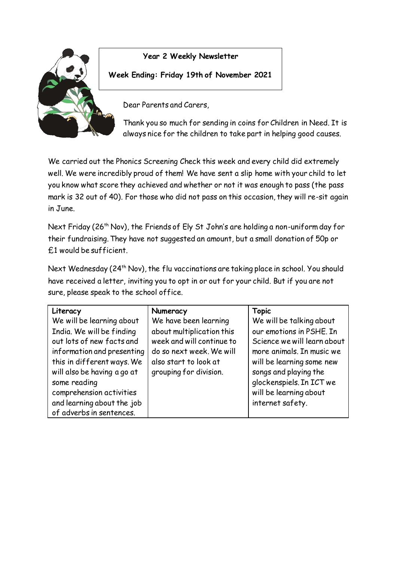

**Year 2 Weekly Newsletter**

## **Week Ending: Friday 19th of November 2021**

Dear Parents and Carers,

Thank you so much for sending in coins for Children in Need. It is always nice for the children to take part in helping good causes.

We carried out the Phonics Screening Check this week and every child did extremely well. We were incredibly proud of them! We have sent a slip home with your child to let you know what score they achieved and whether or not it was enough to pass (the pass mark is 32 out of 40). For those who did not pass on this occasion, they will re-sit again in June.

Next Friday (26<sup>th</sup> Nov), the Friends of Ely St John's are holding a non-uniform day for their fundraising. They have not suggested an amount, but a small donation of 50p or £1 would be sufficient.

Next Wednesday (24<sup>th</sup> Nov), the flu vaccinations are taking place in school. You should have received a letter, inviting you to opt in or out for your child. But if you are not sure, please speak to the school office.

| Literacy                    | Numeracy                  | <b>Topic</b>                |
|-----------------------------|---------------------------|-----------------------------|
| We will be learning about   | We have been learning     | We will be talking about    |
| India. We will be finding   | about multiplication this | our emotions in PSHE. In    |
| out lots of new facts and   | week and will continue to | Science we will learn about |
| information and presenting  | do so next week. We will  | more animals. In music we   |
| this in different ways. We  | also start to look at     | will be learning some new   |
| will also be having a go at | grouping for division.    | songs and playing the       |
| some reading                |                           | glockenspiels. In ICT we    |
| comprehension activities    |                           | will be learning about      |
| and learning about the job  |                           | internet safety.            |
| of adverbs in sentences.    |                           |                             |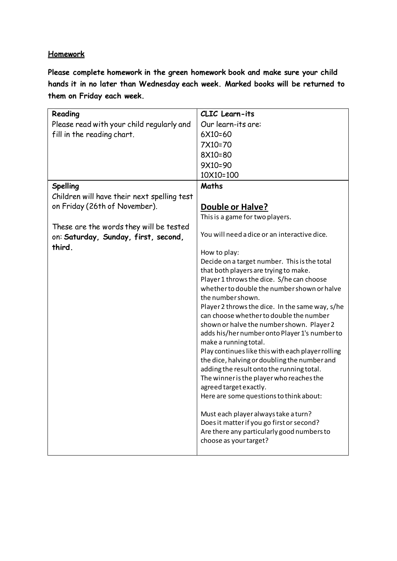## **Homework**

**Please complete homework in the green homework book and make sure your child hands it in no later than Wednesday each week. Marked books will be returned to them on Friday each week.** 

| Reading                                     | CLIC Learn-its                                                                        |
|---------------------------------------------|---------------------------------------------------------------------------------------|
| Please read with your child regularly and   | Our learn-its are:                                                                    |
| fill in the reading chart.                  | 6X10=60                                                                               |
|                                             | 7X10=70                                                                               |
|                                             | 8X10=80                                                                               |
|                                             | 9X10=90                                                                               |
|                                             | 10X10=100                                                                             |
| <b>Spelling</b>                             | Maths                                                                                 |
| Children will have their next spelling test |                                                                                       |
| on Friday (26th of November).               | <b>Double or Halve?</b>                                                               |
|                                             | This is a game for two players.                                                       |
| These are the words they will be tested     |                                                                                       |
| on: Saturday, Sunday, first, second,        | You will need a dice or an interactive dice.                                          |
| third.                                      |                                                                                       |
|                                             | How to play:                                                                          |
|                                             | Decide on a target number. This is the total                                          |
|                                             | that both players are trying to make.<br>Player 1 throws the dice. S/he can choose    |
|                                             | whether to double the number shown or halve                                           |
|                                             | the number shown.                                                                     |
|                                             | Player 2 throws the dice. In the same way, s/he                                       |
|                                             | can choose whether to double the number                                               |
|                                             | shown or halve the number shown. Player 2                                             |
|                                             | adds his/her number onto Player 1's number to                                         |
|                                             | make a running total.                                                                 |
|                                             | Play continues like this with each player rolling                                     |
|                                             | the dice, halving or doubling the number and                                          |
|                                             | adding the result onto the running total.<br>The winner is the player who reaches the |
|                                             | agreed target exactly.                                                                |
|                                             | Here are some questions to think about:                                               |
|                                             |                                                                                       |
|                                             | Must each player always take a turn?                                                  |
|                                             | Does it matter if you go first or second?                                             |
|                                             | Are there any particularly good numbers to                                            |
|                                             | choose as your target?                                                                |
|                                             |                                                                                       |